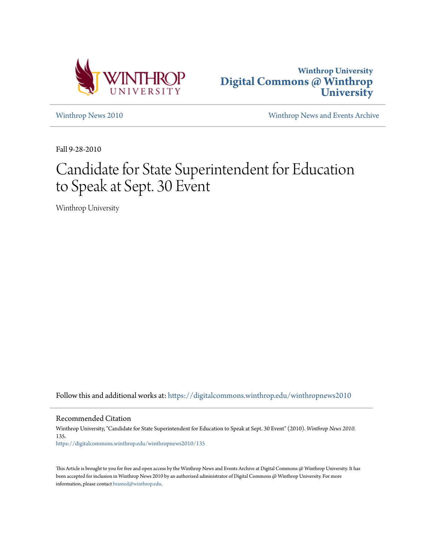



[Winthrop News 2010](https://digitalcommons.winthrop.edu/winthropnews2010?utm_source=digitalcommons.winthrop.edu%2Fwinthropnews2010%2F135&utm_medium=PDF&utm_campaign=PDFCoverPages) [Winthrop News and Events Archive](https://digitalcommons.winthrop.edu/winthropnewsarchives?utm_source=digitalcommons.winthrop.edu%2Fwinthropnews2010%2F135&utm_medium=PDF&utm_campaign=PDFCoverPages)

Fall 9-28-2010

## Candidate for State Superintendent for Education to Speak at Sept. 30 Event

Winthrop University

Follow this and additional works at: [https://digitalcommons.winthrop.edu/winthropnews2010](https://digitalcommons.winthrop.edu/winthropnews2010?utm_source=digitalcommons.winthrop.edu%2Fwinthropnews2010%2F135&utm_medium=PDF&utm_campaign=PDFCoverPages)

Recommended Citation

Winthrop University, "Candidate for State Superintendent for Education to Speak at Sept. 30 Event" (2010). *Winthrop News 2010*. 135. [https://digitalcommons.winthrop.edu/winthropnews2010/135](https://digitalcommons.winthrop.edu/winthropnews2010/135?utm_source=digitalcommons.winthrop.edu%2Fwinthropnews2010%2F135&utm_medium=PDF&utm_campaign=PDFCoverPages)

This Article is brought to you for free and open access by the Winthrop News and Events Archive at Digital Commons @ Winthrop University. It has been accepted for inclusion in Winthrop News 2010 by an authorized administrator of Digital Commons @ Winthrop University. For more information, please contact [bramed@winthrop.edu](mailto:bramed@winthrop.edu).